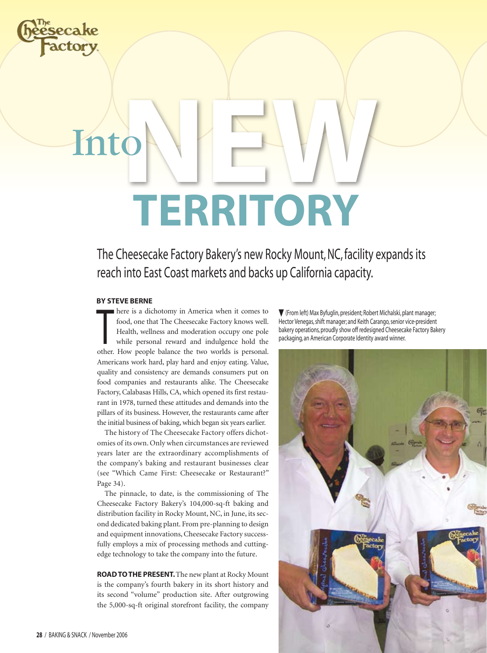

# Into**N Territory EW**

The Cheesecake Factory Bakery's new Rocky Mount, NC, facility expands its reach into East Coast markets and backs up California capacity.

### **By steve berne**

food, one that The Cheesecake Factory knows well.<br>Health, wellness and moderation occupy one pole<br>while personal reward and indulgence hold the<br>other. How people balance the two worlds is personal. here is a dichotomy in America when it comes to food, one that The Cheesecake Factory knows well. Health, wellness and moderation occupy one pole while personal reward and indulgence hold the Americans work hard, play hard and enjoy eating. Value, quality and consistency are demands consumers put on food companies and restaurants alike. The Cheesecake Factory, Calabasas Hills, CA, which opened its first restaurant in 1978, turned these attitudes and demands into the pillars of its business. However, the restaurants came after the initial business of baking, which began six years earlier.

The history of The Cheesecake Factory offers dichotomies of its own. Only when circumstances are reviewed years later are the extraordinary accomplishments of the company's baking and restaurant businesses clear (see "Which Came First: Cheesecake or Restaurant?" Page 34).

The pinnacle, to date, is the commissioning of The Cheesecake Factory Bakery's 104,000-sq-ft baking and distribution facility in Rocky Mount, NC, in June, its second dedicated baking plant. From pre-planning to design and equipment innovations, Cheesecake Factory successfully employs a mix of processing methods and cuttingedge technology to take the company into the future.

**Road to the present.** The new plant at Rocky Mount is the company's fourth bakery in its short history and its second "volume" production site. After outgrowing the 5,000-sq-ft original storefront facility, the company

 (From left) Max Byfuglin, president; Robert Michalski, plant manager; Hector Venegas, shift manager; and Keith Carango, senior vice-president bakery operations, proudly show off redesigned Cheesecake Factory Bakery packaging, an American Corporate Identity award winner.

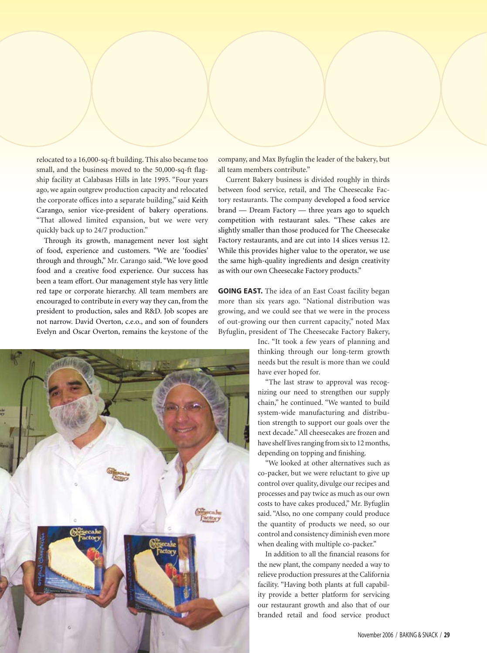relocated to a 16,000-sq-ft building. This also became too small, and the business moved to the 50,000-sq-ft flagship facility at Calabasas Hills in late 1995. "Four years ago, we again outgrew production capacity and relocated the corporate offices into a separate building," said Keith Carango, senior vice-president of bakery operations. "That allowed limited expansion, but we were very quickly back up to 24/7 production."

Through its growth, management never lost sight of food, experience and customers. "We are 'foodies' through and through," Mr. Carango said. "We love good food and a creative food experience. Our success has been a team effort. Our management style has very little red tape or corporate hierarchy. All team members are encouraged to contribute in every way they can, from the president to production, sales and R&D. Job scopes are not narrow. David Overton, c.e.o., and son of founders Evelyn and Oscar Overton, remains the keystone of the



company, and Max Byfuglin the leader of the bakery, but all team members contribute."

Current Bakery business is divided roughly in thirds between food service, retail, and The Cheesecake Factory restaurants. The company developed a food service brand — Dream Factory — three years ago to squelch competition with restaurant sales. "These cakes are slightly smaller than those produced for The Cheesecake Factory restaurants, and are cut into 14 slices versus 12. While this provides higher value to the operator, we use the same high-quality ingredients and design creativity as with our own Cheesecake Factory products."

**Going East.** The idea of an East Coast facility began more than six years ago. "National distribution was growing, and we could see that we were in the process of out-growing our then current capacity," noted Max Byfuglin, president of The Cheesecake Factory Bakery,

> Inc. "It took a few years of planning and thinking through our long-term growth needs but the result is more than we could have ever hoped for.

"The last straw to approval was recognizing our need to strengthen our supply chain," he continued. "We wanted to build system-wide manufacturing and distribution strength to support our goals over the next decade." All cheesecakes are frozen and have shelf lives ranging from six to 12 months, depending on topping and finishing.

"We looked at other alternatives such as co-packer, but we were reluctant to give up control over quality, divulge our recipes and processes and pay twice as much as our own costs to have cakes produced," Mr. Byfuglin said. "Also, no one company could produce the quantity of products we need, so our control and consistency diminish even more when dealing with multiple co-packer."

In addition to all the financial reasons for the new plant, the company needed a way to relieve production pressures at the California facility. "Having both plants at full capability provide a better platform for servicing our restaurant growth and also that of our branded retail and food service product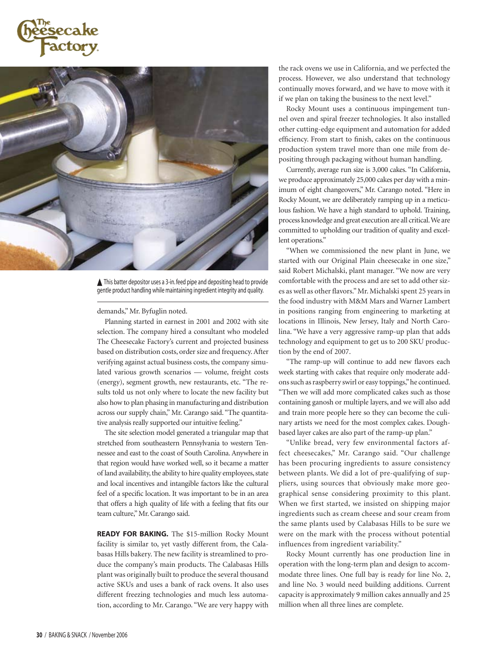



▲ This batter depositor uses a 3-in. feed pipe and depositing head to provide gentle product handling while maintaining ingredient integrity and quality.

#### demands," Mr. Byfuglin noted.

Planning started in earnest in 2001 and 2002 with site selection. The company hired a consultant who modeled The Cheesecake Factory's current and projected business based on distribution costs, order size and frequency. After verifying against actual business costs, the company simulated various growth scenarios — volume, freight costs (energy), segment growth, new restaurants, etc. "The results told us not only where to locate the new facility but also how to plan phasing in manufacturing and distribution across our supply chain," Mr. Carango said. "The quantitative analysis really supported our intuitive feeling."

The site selection model generated a triangular map that stretched from southeastern Pennsylvania to western Tennessee and east to the coast of South Carolina. Anywhere in that region would have worked well, so it became a matter of land availability, the ability to hire quality employees, state and local incentives and intangible factors like the cultural feel of a specific location. It was important to be in an area that offers a high quality of life with a feeling that fits our team culture," Mr. Carango said.

**Ready for baking.** The \$15-million Rocky Mount facility is similar to, yet vastly different from, the Calabasas Hills bakery. The new facility is streamlined to produce the company's main products. The Calabasas Hills plant was originally built to produce the several thousand active SKUs and uses a bank of rack ovens. It also uses different freezing technologies and much less automation, according to Mr. Carango. "We are very happy with the rack ovens we use in California, and we perfected the process. However, we also understand that technology continually moves forward, and we have to move with it if we plan on taking the business to the next level."

Rocky Mount uses a continuous impingement tunnel oven and spiral freezer technologies. It also installed other cutting-edge equipment and automation for added efficiency. From start to finish, cakes on the continuous production system travel more than one mile from depositing through packaging without human handling.

Currently, average run size is 3,000 cakes. "In California, we produce approximately 25,000 cakes per day with a minimum of eight changeovers," Mr. Carango noted. "Here in Rocky Mount, we are deliberately ramping up in a meticulous fashion. We have a high standard to uphold. Training, process knowledge and great execution are all critical. We are committed to upholding our tradition of quality and excellent operations."

"When we commissioned the new plant in June, we started with our Original Plain cheesecake in one size," said Robert Michalski, plant manager. "We now are very comfortable with the process and are set to add other sizes as well as other flavors." Mr. Michalski spent 25 years in the food industry with M&M Mars and Warner Lambert in positions ranging from engineering to marketing at locations in Illinois, New Jersey, Italy and North Carolina. "We have a very aggressive ramp-up plan that adds technology and equipment to get us to 200 SKU production by the end of 2007.

"The ramp-up will continue to add new flavors each week starting with cakes that require only moderate addons such as raspberry swirl or easy toppings," he continued. "Then we will add more complicated cakes such as those containing ganosh or multiple layers, and we will also add and train more people here so they can become the culinary artists we need for the most complex cakes. Doughbased layer cakes are also part of the ramp-up plan."

"Unlike bread, very few environmental factors affect cheesecakes," Mr. Carango said. "Our challenge has been procuring ingredients to assure consistency between plants. We did a lot of pre-qualifying of suppliers, using sources that obviously make more geographical sense considering proximity to this plant. When we first started, we insisted on shipping major ingredients such as cream cheese and sour cream from the same plants used by Calabasas Hills to be sure we were on the mark with the process without potential influences from ingredient variability."

Rocky Mount currently has one production line in operation with the long-term plan and design to accommodate three lines. One full bay is ready for line No. 2, and line No. 3 would need building additions. Current capacity is approximately 9 million cakes annually and 25 million when all three lines are complete.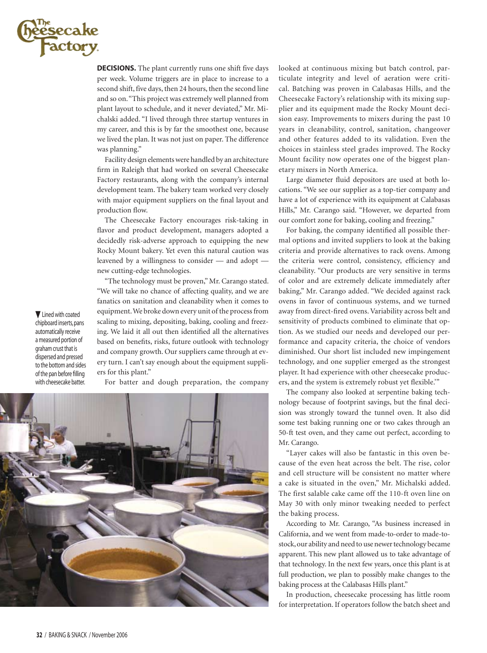

**DECISIONS.** The plant currently runs one shift five days per week. Volume triggers are in place to increase to a second shift, five days, then 24 hours, then the second line and so on. "This project was extremely well planned from plant layout to schedule, and it never deviated," Mr. Michalski added. "I lived through three startup ventures in my career, and this is by far the smoothest one, because we lived the plan. It was not just on paper. The difference was planning."

Facility design elements were handled by an architecture firm in Raleigh that had worked on several Cheesecake Factory restaurants, along with the company's internal development team. The bakery team worked very closely with major equipment suppliers on the final layout and production flow.

The Cheesecake Factory encourages risk-taking in flavor and product development, managers adopted a decidedly risk-adverse approach to equipping the new Rocky Mount bakery. Yet even this natural caution was leavened by a willingness to consider — and adopt new cutting-edge technologies.

"The technology must be proven," Mr. Carango stated. "We will take no chance of affecting quality, and we are fanatics on sanitation and cleanability when it comes to equipment. We broke down every unit of the process from scaling to mixing, depositing, baking, cooling and freezing. We laid it all out then identified all the alternatives based on benefits, risks, future outlook with technology and company growth. Our suppliers came through at every turn. I can't say enough about the equipment suppliers for this plant."

For batter and dough preparation, the company



looked at continuous mixing but batch control, particulate integrity and level of aeration were critical. Batching was proven in Calabasas Hills, and the Cheesecake Factory's relationship with its mixing supplier and its equipment made the Rocky Mount decision easy. Improvements to mixers during the past 10 years in cleanability, control, sanitation, changeover and other features added to its validation. Even the choices in stainless steel grades improved. The Rocky Mount facility now operates one of the biggest planetary mixers in North America.

Large diameter fluid depositors are used at both locations. "We see our supplier as a top-tier company and have a lot of experience with its equipment at Calabasas Hills," Mr. Carango said. "However, we departed from our comfort zone for baking, cooling and freezing."

For baking, the company identified all possible thermal options and invited suppliers to look at the baking criteria and provide alternatives to rack ovens. Among the criteria were control, consistency, efficiency and cleanability. "Our products are very sensitive in terms of color and are extremely delicate immediately after baking," Mr. Carango added. "We decided against rack ovens in favor of continuous systems, and we turned away from direct-fired ovens. Variability across belt and sensitivity of products combined to eliminate that option. As we studied our needs and developed our performance and capacity criteria, the choice of vendors diminished. Our short list included new impingement technology, and one supplier emerged as the strongest player. It had experience with other cheesecake producers, and the system is extremely robust yet flexible.'"

The company also looked at serpentine baking technology because of footprint savings, but the final decision was strongly toward the tunnel oven. It also did some test baking running one or two cakes through an 50-ft test oven, and they came out perfect, according to Mr. Carango.

"Layer cakes will also be fantastic in this oven because of the even heat across the belt. The rise, color and cell structure will be consistent no matter where a cake is situated in the oven," Mr. Michalski added. The first salable cake came off the 110-ft oven line on May 30 with only minor tweaking needed to perfect the baking process.

According to Mr. Carango, "As business increased in California, and we went from made-to-order to made-tostock, our ability and need to use newer technology became apparent. This new plant allowed us to take advantage of that technology. In the next few years, once this plant is at full production, we plan to possibly make changes to the baking process at the Calabasas Hills plant."

In production, cheesecake processing has little room for interpretation. If operators follow the batch sheet and

**V** Lined with coated chipboard inserts, pans automatically receive a measured portion of graham crust that is dispersed and pressed to the bottom and sides of the pan before filling with cheesecake batter.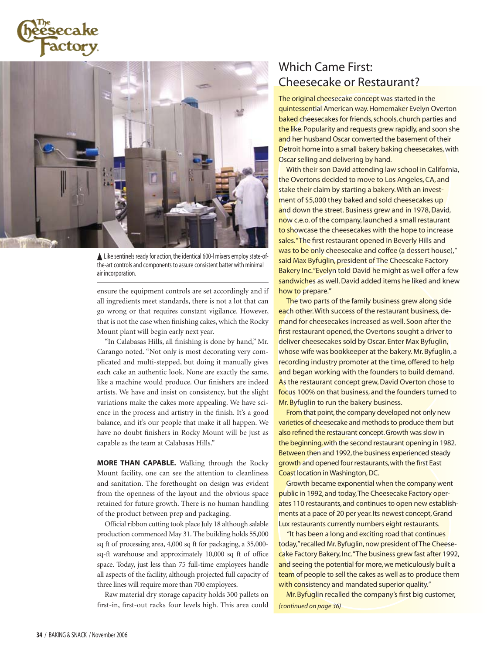



Like sentinels ready for action, the identical 600-l mixers employ state-ofthe-art controls and components to assure consistent batter with minimal air incorporation.

ensure the equipment controls are set accordingly and if all ingredients meet standards, there is not a lot that can go wrong or that requires constant vigilance. However, that is not the case when finishing cakes, which the Rocky Mount plant will begin early next year.

"In Calabasas Hills, all finishing is done by hand," Mr. Carango noted. "Not only is most decorating very complicated and multi-stepped, but doing it manually gives each cake an authentic look. None are exactly the same, like a machine would produce. Our finishers are indeed artists. We have and insist on consistency, but the slight variations make the cakes more appealing. We have science in the process and artistry in the finish. It's a good balance, and it's our people that make it all happen. We have no doubt finishers in Rocky Mount will be just as capable as the team at Calabasas Hills."

**More than capable.** Walking through the Rocky Mount facility, one can see the attention to cleanliness and sanitation. The forethought on design was evident from the openness of the layout and the obvious space retained for future growth. There is no human handling of the product between prep and packaging.

Official ribbon cutting took place July 18 although salable production commenced May 31. The building holds 55,000 sq ft of processing area, 4,000 sq ft for packaging, a 35,000 sq-ft warehouse and approximately 10,000 sq ft of office space. Today, just less than 75 full-time employees handle all aspects of the facility, although projected full capacity of three lines will require more than 700 employees.

Raw material dry storage capacity holds 300 pallets on first-in, first-out racks four levels high. This area could

## Which Came First: Cheesecake or Restaurant?

The original cheesecake concept was started in the quintessential American way. Homemaker Evelyn Overton baked cheesecakes for friends, schools, church parties and the like. Popularity and requests grew rapidly, and soon she and her husband Oscar converted the basement of their Detroit home into a small bakery baking cheesecakes, with Oscar selling and delivering by hand.

With their son David attending law school in California, the Overtons decided to move to Los Angeles, CA, and stake their claim by starting a bakery. With an investment of \$5,000 they baked and sold cheesecakes up and down the street. Business grew and in 1978, David, now c.e.o. of the company, launched a small restaurant to showcase the cheesecakes with the hope to increase sales. "The first restaurant opened in Beverly Hills and was to be only cheesecake and coffee (a dessert house)," said Max Byfuglin, president of The Cheescake Factory Bakery Inc. "Evelyn told David he might as well offer a few sandwiches as well. David added items he liked and knew how to prepare."

The two parts of the family business grew along side each other. With success of the restaurant business, demand for cheesecakes increased as well. Soon after the first restaurant opened, the Overtons sought a driver to deliver cheesecakes sold by Oscar. Enter Max Byfuglin, whose wife was bookkeeper at the bakery. Mr. Byfuglin, a recording industry promoter at the time, offered to help and began working with the founders to build demand. As the restaurant concept grew, David Overton chose to focus 100% on that business, and the founders turned to Mr. Byfuglin to run the bakery business.

From that point, the company developed not only new varieties of cheesecake and methods to produce them but also refined the restaurant concept. Growth was slow in the beginning, with the second restaurant opening in 1982. Between then and 1992, the business experienced steady growth and opened four restaurants, with the first East Coast location in Washington, DC.

Growth became exponential when the company went public in 1992, and today, The Cheesecake Factory operates 110 restaurants, and continues to open new establishments at a pace of 20 per year. Its newest concept, Grand Lux restaurants currently numbers eight restaurants.

 "It has been a long and exciting road that continues today," recalled Mr. Byfuglin, now president of The Cheesecake Factory Bakery, Inc. "The business grew fast after 1992, and seeing the potential for more, we meticulously built a team of people to sell the cakes as well as to produce them with consistency and mandated superior quality."

Mr. Byfuglin recalled the company's first big customer, *(continued on page 36)*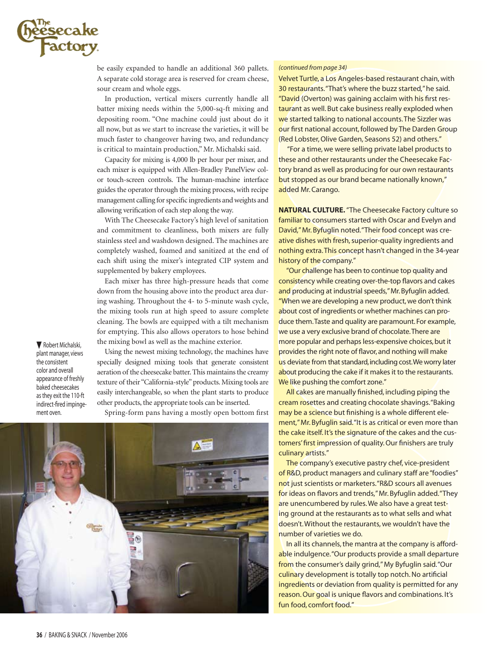

be easily expanded to handle an additional 360 pallets. A separate cold storage area is reserved for cream cheese, sour cream and whole eggs.

In production, vertical mixers currently handle all batter mixing needs within the 5,000-sq-ft mixing and depositing room. "One machine could just about do it all now, but as we start to increase the varieties, it will be much faster to changeover having two, and redundancy is critical to maintain production," Mr. Michalski said.

Capacity for mixing is 4,000 lb per hour per mixer, and each mixer is equipped with Allen-Bradley PanelView color touch-screen controls. The human-machine interface guides the operator through the mixing process, with recipe management calling for specific ingredients and weights and allowing verification of each step along the way.

With The Cheesecake Factory's high level of sanitation and commitment to cleanliness, both mixers are fully stainless steel and washdown designed. The machines are completely washed, foamed and sanitized at the end of each shift using the mixer's integrated CIP system and supplemented by bakery employees.

Each mixer has three high-pressure heads that come down from the housing above into the product area during washing. Throughout the 4- to 5-minute wash cycle, the mixing tools run at high speed to assure complete cleaning. The bowls are equipped with a tilt mechanism for emptying. This also allows operators to hose behind the mixing bowl as well as the machine exterior.

Robert Michalski, plant manager, views the consistent color and overall appearance of freshly baked cheesecakes as they exit the 110-ft indirect-fired impingement oven.

Using the newest mixing technology, the machines have specially designed mixing tools that generate consistent aeration of the cheesecake batter. This maintains the creamy texture of their "California-style" products. Mixing tools are easily interchangeable, so when the plant starts to produce other products, the appropriate tools can be inserted.

Spring-form pans having a mostly open bottom first



#### *(continued from page 34)*

Velvet Turtle, a Los Angeles-based restaurant chain, with 30 restaurants. "That's where the buzz started," he said. "David (Overton) was gaining acclaim with his first restaurant as well. But cake business really exploded when we started talking to national accounts. The Sizzler was our first national account, followed by The Darden Group (Red Lobster, Olive Garden, Seasons 52) and others."

 "For a time, we were selling private label products to these and other restaurants under the Cheesecake Factory brand as well as producing for our own restaurants but stopped as our brand became nationally known," added Mr. Carango.

**NATURAL CULTURE.** "The Cheesecake Factory culture so familiar to consumers started with Oscar and Evelyn and David," Mr. Byfuglin noted. "Their food concept was creative dishes with fresh, superior-quality ingredients and nothing extra. This concept hasn't changed in the 34-year history of the company."

"Our challenge has been to continue top quality and consistency while creating over-the-top flavors and cakes and producing at industrial speeds," Mr. Byfuglin added. "When we are developing a new product, we don't think about cost of ingredients or whether machines can produce them. Taste and quality are paramount. For example, we use a very exclusive brand of chocolate. There are more popular and perhaps less-expensive choices, but it provides the right note of flavor, and nothing will make us deviate from that standard, including cost. We worry later about producing the cake if it makes it to the restaurants. We like pushing the comfort zone."

All cakes are manually finished, including piping the cream rosettes and creating chocolate shavings. "Baking may be a science but finishing is a whole different element," Mr. Byfuglin said. "It is as critical or even more than the cake itself. It's the signature of the cakes and the customers' first impression of quality. Our finishers are truly culinary artists."

The company's executive pastry chef, vice-president of R&D, product managers and culinary staff are "foodies" not just scientists or marketers. "R&D scours all avenues for ideas on flavors and trends," Mr. Byfuglin added."They are unencumbered by rules. We also have a great testing ground at the restaurants as to what sells and what doesn't. Without the restaurants, we wouldn't have the number of varieties we do.

In all its channels, the mantra at the company is affordable indulgence. "Our products provide a small departure from the consumer's daily grind," My Byfuglin said."Our culinary development is totally top notch. No artificial ingredients or deviation from quality is permitted for any reason. Our goal is unique flavors and combinations. It's fun food, comfort food."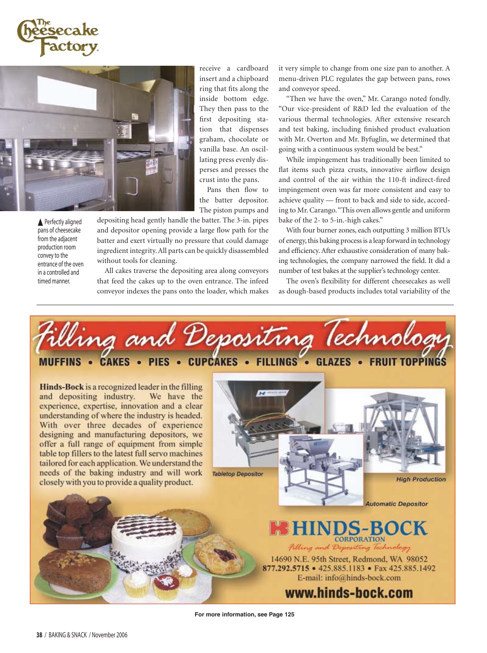



Perfectly aligned pans of cheesecake from the adjacent production room convey to the entrance of the oven in a controlled and timed manner.

The piston pumps and depositing head gently handle the batter. The 3-in. pipes and depositor opening provide a large flow path for the batter and exert virtually no pressure that could damage ingredient integrity. All parts can be quickly disassembled without tools for cleaning.

All cakes traverse the depositing area along conveyors that feed the cakes up to the oven entrance. The infeed conveyor indexes the pans onto the loader, which makes it very simple to change from one size pan to another. A menu-driven PLC regulates the gap between pans, rows and conveyor speed.

"Then we have the oven," Mr. Carango noted fondly. "Our vice-president of R&D led the evaluation of the various thermal technologies. After extensive research and test baking, including finished product evaluation with Mr. Overton and Mr. Byfuglin, we determined that going with a continuous system would be best."

While impingement has traditionally been limited to flat items such pizza crusts, innovative airflow design and control of the air within the 110-ft indirect-fired impingement oven was far more consistent and easy to achieve quality — front to back and side to side, according to Mr. Carango. "This oven allows gentle and uniform bake of the 2- to 5-in.-high cakes."

With four burner zones, each outputting 3 million BTUs of energy, this baking process is a leap forward in technology and efficiency. After exhaustive consideration of many baking technologies, the company narrowed the field. It did a number of test bakes at the supplier's technology center.

The oven's flexibility for different cheesecakes as well as dough-based products includes total variability of the

filling and Depositing Technolog MUFFINS • CAKES • PIES • CUPCAKES • FILLINGS • GLAZES • FRUIT TOPPINGS

receive a cardboard insert and a chipboard ring that fits along the inside bottom edge. They then pass to the first depositing station that dispenses graham, chocolate or vanilla base. An oscillating press evenly disperses and presses the crust into the pans. Pans then flow to the batter depositor.

Hinds-Bock is a recognized leader in the filling and depositing industry. We have the experience, expertise, innovation and a clear understanding of where the industry is headed. With over three decades of experience designing and manufacturing depositors, we offer a full range of equipment from simple table top fillers to the latest full servo machines tailored for each application. We understand the needs of the baking industry and will work closely with you to provide a quality product.



**HINDS-BOCK** Filling and Depositing Technology

14690 N.E. 95th Street, Redmond, WA 98052 877.292.5715 • 425.885.1183 • Fax 425.885.1492 E-mail: info@hinds-bock.com

www.hinds-bock.com

**For more information, see Page 125**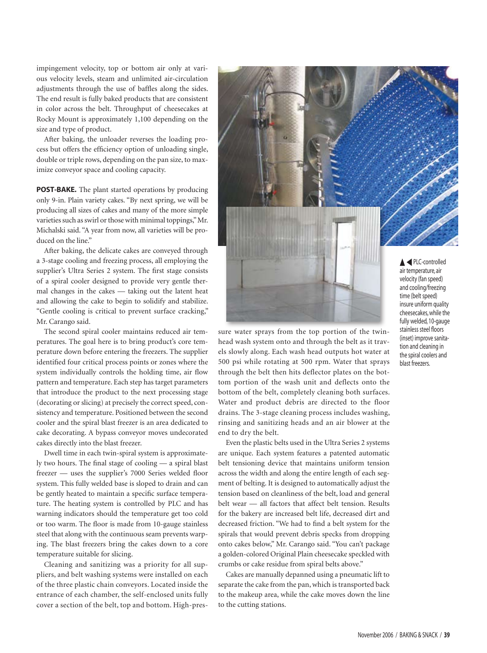impingement velocity, top or bottom air only at various velocity levels, steam and unlimited air-circulation adjustments through the use of baffles along the sides. The end result is fully baked products that are consistent in color across the belt. Throughput of cheesecakes at Rocky Mount is approximately 1,100 depending on the size and type of product.

After baking, the unloader reverses the loading process but offers the efficiency option of unloading single, double or triple rows, depending on the pan size, to maximize conveyor space and cooling capacity.

**POST-BAKE.** The plant started operations by producing only 9-in. Plain variety cakes. "By next spring, we will be producing all sizes of cakes and many of the more simple varieties such as swirl or those with minimal toppings," Mr. Michalski said. "A year from now, all varieties will be produced on the line."

After baking, the delicate cakes are conveyed through a 3-stage cooling and freezing process, all employing the supplier's Ultra Series 2 system. The first stage consists of a spiral cooler designed to provide very gentle thermal changes in the cakes — taking out the latent heat and allowing the cake to begin to solidify and stabilize. "Gentle cooling is critical to prevent surface cracking," Mr. Carango said.

The second spiral cooler maintains reduced air temperatures. The goal here is to bring product's core temperature down before entering the freezers. The supplier identified four critical process points or zones where the system individually controls the holding time, air flow pattern and temperature. Each step has target parameters that introduce the product to the next processing stage (decorating or slicing) at precisely the correct speed, consistency and temperature. Positioned between the second cooler and the spiral blast freezer is an area dedicated to cake decorating. A bypass conveyor moves undecorated cakes directly into the blast freezer.

Dwell time in each twin-spiral system is approximately two hours. The final stage of cooling — a spiral blast freezer — uses the supplier's 7000 Series welded floor system. This fully welded base is sloped to drain and can be gently heated to maintain a specific surface temperature. The heating system is controlled by PLC and has warning indicators should the temperature get too cold or too warm. The floor is made from 10-gauge stainless steel that along with the continuous seam prevents warping. The blast freezers bring the cakes down to a core temperature suitable for slicing.

Cleaning and sanitizing was a priority for all suppliers, and belt washing systems were installed on each of the three plastic chain conveyors. Located inside the entrance of each chamber, the self-enclosed units fully cover a section of the belt, top and bottom. High-pres-



sure water sprays from the top portion of the twinhead wash system onto and through the belt as it travels slowly along. Each wash head outputs hot water at 500 psi while rotating at 500 rpm. Water that sprays through the belt then hits deflector plates on the bottom portion of the wash unit and deflects onto the bottom of the belt, completely cleaning both surfaces. Water and product debris are directed to the floor drains. The 3-stage cleaning process includes washing, rinsing and sanitizing heads and an air blower at the end to dry the belt.

Even the plastic belts used in the Ultra Series 2 systems are unique. Each system features a patented automatic belt tensioning device that maintains uniform tension across the width and along the entire length of each segment of belting. It is designed to automatically adjust the tension based on cleanliness of the belt, load and general belt wear — all factors that affect belt tension. Results for the bakery are increased belt life, decreased dirt and decreased friction. "We had to find a belt system for the spirals that would prevent debris specks from dropping onto cakes below," Mr. Carango said. "You can't package a golden-colored Original Plain cheesecake speckled with crumbs or cake residue from spiral belts above."

Cakes are manually depanned using a pneumatic lift to separate the cake from the pan, which is transported back to the makeup area, while the cake moves down the line to the cutting stations.

cheesecakes, while the fully welded, 10-gauge stainless steel floors (inset) improve sanitation and cleaning in the spiral coolers and blast freezers.